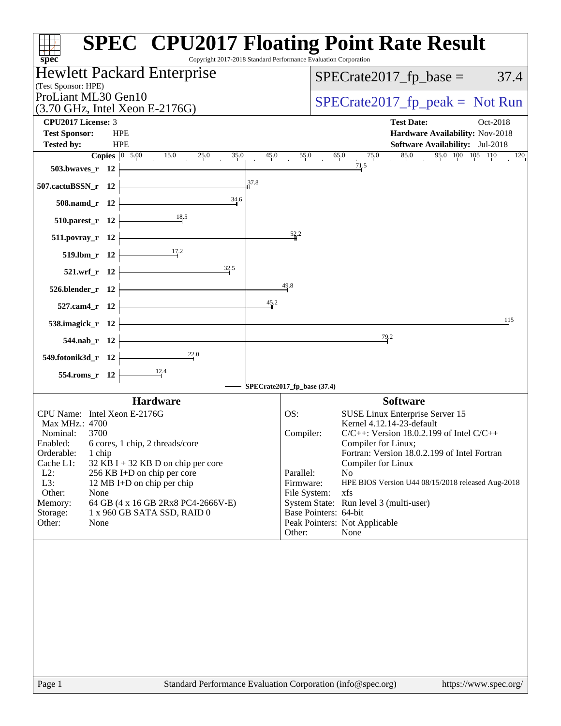| $spec^*$                                                                                                                                            | <b>SPEC<sup>®</sup> CPU2017 Floating Point Rate Result</b><br>Copyright 2017-2018 Standard Performance Evaluation Corporation |
|-----------------------------------------------------------------------------------------------------------------------------------------------------|-------------------------------------------------------------------------------------------------------------------------------|
| <b>Hewlett Packard Enterprise</b>                                                                                                                   | $SPECrate2017_fp\_base = 37.4$                                                                                                |
| (Test Sponsor: HPE)<br>ProLiant ML30 Gen10                                                                                                          | $SPECrate2017_fp\_peak = Not Run$                                                                                             |
| $(3.70 \text{ GHz}, \text{Intel Xeon E-2176G})$<br><b>CPU2017 License: 3</b>                                                                        | <b>Test Date:</b><br>Oct-2018                                                                                                 |
| <b>Test Sponsor:</b><br><b>HPE</b>                                                                                                                  | Hardware Availability: Nov-2018                                                                                               |
| <b>HPE</b><br><b>Tested by:</b>                                                                                                                     | Software Availability: Jul-2018                                                                                               |
| <b>Copies</b> $\begin{array}{ccc} 0 & 5.00 & 15.0 & 25.0 & 35.0 \\ 15.0 & 25.0 & 35.0 & 15.0 \\ 0 & 0 & 0 & 0 & 0 \end{array}$<br>503.bwaves_r $12$ | 85.0<br>$95.0$ $100$ $105$ $110$<br>45.0<br>$\overline{55.0}$<br>65.0<br>75.0<br>120<br>$\frac{1}{4}$<br>71.5                 |
| 37.8<br>507.cactuBSSN_r 12 $\vert$                                                                                                                  |                                                                                                                               |
| 34.6<br>$508$ .namd_r 12                                                                                                                            |                                                                                                                               |
| 510.parest_r 12 $\frac{18.5}{12}$                                                                                                                   |                                                                                                                               |
| $511. povray_r 12$                                                                                                                                  | 52.2                                                                                                                          |
| 519.1bm_r 12 $\frac{17.2}{ }$                                                                                                                       |                                                                                                                               |
| 32.5<br>$521.wrf_r$ $12$                                                                                                                            |                                                                                                                               |
| $526. \text{blender}_r$ 12 $\overline{\phantom{a}}$                                                                                                 | 49.8                                                                                                                          |
| 45.2<br><u> 1989 - Johann Barn, fransk politik (</u><br>$527$ .cam4_r 12 $-$                                                                        |                                                                                                                               |
| 538.imagick_r $12$                                                                                                                                  | 115                                                                                                                           |
| 544.nab_r $12$ $\vdash$                                                                                                                             | 79.2                                                                                                                          |
| $\overbrace{\qquad \qquad }^{22.0}$<br>549.fotonik3d_r $12$                                                                                         |                                                                                                                               |
| 554.roms_r 12 $\frac{12.4}{12}$                                                                                                                     | SPECrate2017_fp_base (37.4)                                                                                                   |
| <b>Hardware</b>                                                                                                                                     | <b>Software</b>                                                                                                               |
| CPU Name: Intel Xeon E-2176G                                                                                                                        | SUSE Linux Enterprise Server 15<br>OS:                                                                                        |
| Max MHz.: 4700                                                                                                                                      | Kernel 4.12.14-23-default                                                                                                     |
| Nominal:<br>3700<br>Enabled:<br>6 cores, 1 chip, 2 threads/core                                                                                     | $C/C++$ : Version 18.0.2.199 of Intel $C/C++$<br>Compiler:<br>Compiler for Linux;                                             |
| Orderable:<br>1 chip                                                                                                                                | Fortran: Version 18.0.2.199 of Intel Fortran                                                                                  |
| Cache L1:<br>$32$ KB I + 32 KB D on chip per core<br>$L2$ :<br>256 KB I+D on chip per core                                                          | Compiler for Linux<br>Parallel:<br>No                                                                                         |
| L3:<br>12 MB I+D on chip per chip                                                                                                                   | Firmware:<br>HPE BIOS Version U44 08/15/2018 released Aug-2018                                                                |
| Other:<br>None                                                                                                                                      | File System:<br>xfs                                                                                                           |
| Memory:<br>64 GB (4 x 16 GB 2Rx8 PC4-2666V-E)                                                                                                       | System State: Run level 3 (multi-user)<br>Base Pointers: 64-bit                                                               |
| Storage:<br>1 x 960 GB SATA SSD, RAID 0<br>Other:<br>None                                                                                           | Peak Pointers: Not Applicable<br>Other:<br>None                                                                               |
|                                                                                                                                                     |                                                                                                                               |
|                                                                                                                                                     |                                                                                                                               |
|                                                                                                                                                     |                                                                                                                               |
|                                                                                                                                                     |                                                                                                                               |
|                                                                                                                                                     |                                                                                                                               |
|                                                                                                                                                     |                                                                                                                               |
|                                                                                                                                                     |                                                                                                                               |
|                                                                                                                                                     |                                                                                                                               |
|                                                                                                                                                     |                                                                                                                               |
| Page 1                                                                                                                                              | Standard Performance Evaluation Corporation (info@spec.org)<br>https://www.spec.org/                                          |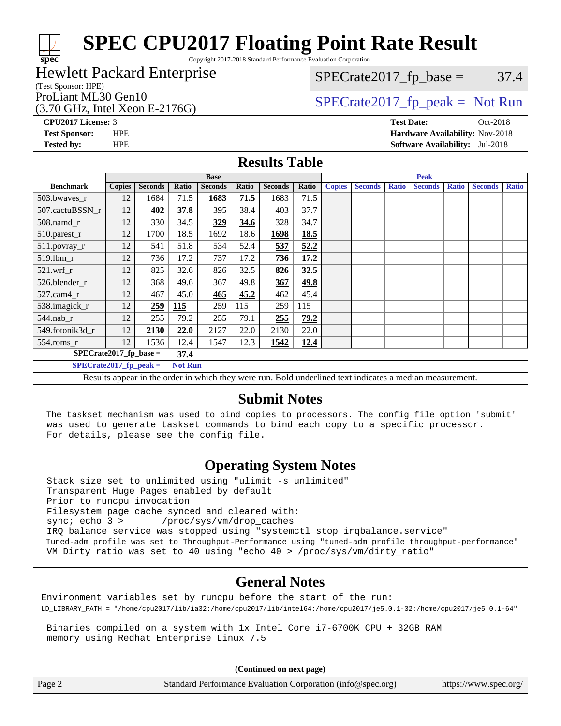Copyright 2017-2018 Standard Performance Evaluation Corporation

#### Hewlett Packard Enterprise

(Test Sponsor: HPE)

**[spec](http://www.spec.org/)**

(3.70 GHz, Intel Xeon E-2176G)

 $SPECTate2017<sub>fp</sub> base =  $37.4$$ 

### ProLiant ML30 Gen10  $SPECTR_{12}^{270}$  [SPECrate2017\\_fp\\_peak =](http://www.spec.org/auto/cpu2017/Docs/result-fields.html#SPECrate2017fppeak) Not Run

**[CPU2017 License:](http://www.spec.org/auto/cpu2017/Docs/result-fields.html#CPU2017License)** 3 **[Test Date:](http://www.spec.org/auto/cpu2017/Docs/result-fields.html#TestDate)** Oct-2018 **[Test Sponsor:](http://www.spec.org/auto/cpu2017/Docs/result-fields.html#TestSponsor)** HPE **[Hardware Availability:](http://www.spec.org/auto/cpu2017/Docs/result-fields.html#HardwareAvailability)** Nov-2018 **[Tested by:](http://www.spec.org/auto/cpu2017/Docs/result-fields.html#Testedby)** HPE **[Software Availability:](http://www.spec.org/auto/cpu2017/Docs/result-fields.html#SoftwareAvailability)** Jul-2018

#### **[Results Table](http://www.spec.org/auto/cpu2017/Docs/result-fields.html#ResultsTable)**

|                                            | <b>Base</b>   |                 |                |                | <b>Peak</b> |                 |       |               |                                                              |              |                |              |                |              |
|--------------------------------------------|---------------|-----------------|----------------|----------------|-------------|-----------------|-------|---------------|--------------------------------------------------------------|--------------|----------------|--------------|----------------|--------------|
| <b>Benchmark</b>                           | <b>Copies</b> | <b>Seconds</b>  | Ratio          | <b>Seconds</b> | Ratio       | <b>Seconds</b>  | Ratio | <b>Copies</b> | <b>Seconds</b>                                               | <b>Ratio</b> | <b>Seconds</b> | <b>Ratio</b> | <b>Seconds</b> | <b>Ratio</b> |
| 503.bwayes r                               | 12            | 1684            | 71.5           | 1683           | 71.5        | 1683            | 71.5  |               |                                                              |              |                |              |                |              |
| 507.cactuBSSN_r                            | 12            | 402             | 37.8           | 395            | 38.4        | 403             | 37.7  |               |                                                              |              |                |              |                |              |
| $508$ .namd $r$                            | 12            | 330             | 34.5           | 329            | 34.6        | 328             | 34.7  |               |                                                              |              |                |              |                |              |
| 510.parest_r                               | 12            | 1700            | 18.5           | 1692           | 18.6        | 1698            | 18.5  |               |                                                              |              |                |              |                |              |
| $511.$ povray_r                            | 12            | 541             | 51.8           | 534            | 52.4        | 537             | 52.2  |               |                                                              |              |                |              |                |              |
| 519.lbm r                                  | 12            | 736             | 17.2           | 737            | 17.2        | 736             | 17.2  |               |                                                              |              |                |              |                |              |
| $521$ .wrf r                               | 12            | 825             | 32.6           | 826            | 32.5        | 826             | 32.5  |               |                                                              |              |                |              |                |              |
| 526.blender_r                              | 12            | 368             | 49.6           | 367            | 49.8        | 367             | 49.8  |               |                                                              |              |                |              |                |              |
| $527$ .cam $4r$                            | 12            | 467             | 45.0           | 465            | 45.2        | 462             | 45.4  |               |                                                              |              |                |              |                |              |
| 538.imagick_r                              | 12            | 259             | 115            | 259            | 115         | 259             | 115   |               |                                                              |              |                |              |                |              |
| 544.nab r                                  | 12            | 255             | 79.2           | 255            | 79.1        | 255             | 79.2  |               |                                                              |              |                |              |                |              |
| 549.fotonik3d r                            | 12            | 2130            | 22.0           | 2127           | 22.0        | 2130            | 22.0  |               |                                                              |              |                |              |                |              |
| $554$ .roms_r                              | 12            | 1536            | 12.4           | 1547           | 12.3        | 1542            | 12.4  |               |                                                              |              |                |              |                |              |
| $SPECrate2017_fp\_base =$<br>37.4          |               |                 |                |                |             |                 |       |               |                                                              |              |                |              |                |              |
| $SPECrate2017$ fp peak =<br><b>Not Run</b> |               |                 |                |                |             |                 |       |               |                                                              |              |                |              |                |              |
| $\mathbf{r}$ $\mathbf{r}$                  |               | $\cdot$ $\cdot$ | $\mathbf{r}$ . | $\cdots$       |             | P <sub>11</sub> |       |               | $-1$ , $-1$ , $-1$ , $-1$ , $-1$ , $-1$ , $-1$ , $-1$ , $-1$ |              | $\mathbf{H}$   |              |                |              |

Results appear in the [order in which they were run.](http://www.spec.org/auto/cpu2017/Docs/result-fields.html#RunOrder) Bold underlined text [indicates a median measurement.](http://www.spec.org/auto/cpu2017/Docs/result-fields.html#Median)

#### **[Submit Notes](http://www.spec.org/auto/cpu2017/Docs/result-fields.html#SubmitNotes)**

 The taskset mechanism was used to bind copies to processors. The config file option 'submit' was used to generate taskset commands to bind each copy to a specific processor. For details, please see the config file.

### **[Operating System Notes](http://www.spec.org/auto/cpu2017/Docs/result-fields.html#OperatingSystemNotes)**

 Stack size set to unlimited using "ulimit -s unlimited" Transparent Huge Pages enabled by default Prior to runcpu invocation Filesystem page cache synced and cleared with: sync; echo 3 > /proc/sys/vm/drop\_caches IRQ balance service was stopped using "systemctl stop irqbalance.service" Tuned-adm profile was set to Throughput-Performance using "tuned-adm profile throughput-performance" VM Dirty ratio was set to 40 using "echo 40 > /proc/sys/vm/dirty\_ratio"

#### **[General Notes](http://www.spec.org/auto/cpu2017/Docs/result-fields.html#GeneralNotes)**

Environment variables set by runcpu before the start of the run: LD\_LIBRARY\_PATH = "/home/cpu2017/lib/ia32:/home/cpu2017/lib/intel64:/home/cpu2017/je5.0.1-32:/home/cpu2017/je5.0.1-64"

 Binaries compiled on a system with 1x Intel Core i7-6700K CPU + 32GB RAM memory using Redhat Enterprise Linux 7.5

**(Continued on next page)**

Page 2 Standard Performance Evaluation Corporation [\(info@spec.org\)](mailto:info@spec.org) <https://www.spec.org/>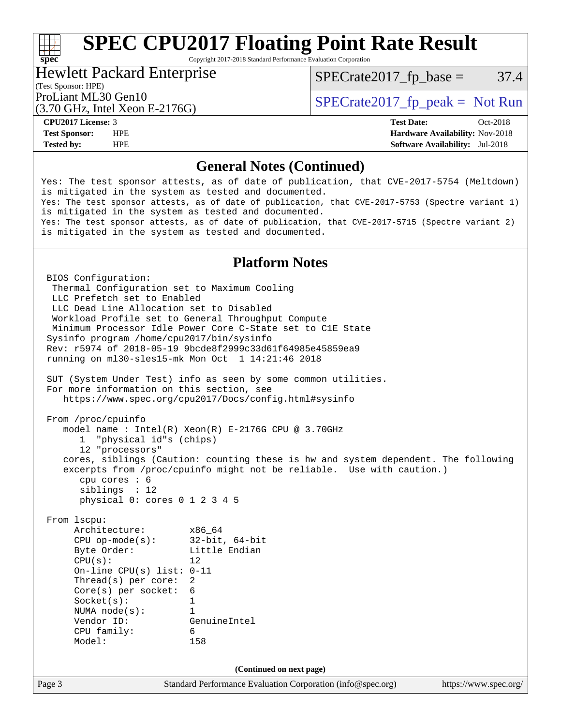Copyright 2017-2018 Standard Performance Evaluation Corporation

#### Hewlett Packard Enterprise

 $SPECTate2017<sub>fp</sub> base =  $37.4$$ 

### (Test Sponsor: HPE)

(3.70 GHz, Intel Xeon E-2176G)

ProLiant ML30 Gen10  $SPECTA = 2176C$   $SPECTA = 2017$  speak = Not Run

**[spec](http://www.spec.org/)**

**[CPU2017 License:](http://www.spec.org/auto/cpu2017/Docs/result-fields.html#CPU2017License)** 3 **[Test Date:](http://www.spec.org/auto/cpu2017/Docs/result-fields.html#TestDate)** Oct-2018 **[Test Sponsor:](http://www.spec.org/auto/cpu2017/Docs/result-fields.html#TestSponsor)** HPE **[Hardware Availability:](http://www.spec.org/auto/cpu2017/Docs/result-fields.html#HardwareAvailability)** Nov-2018 **[Tested by:](http://www.spec.org/auto/cpu2017/Docs/result-fields.html#Testedby)** HPE **[Software Availability:](http://www.spec.org/auto/cpu2017/Docs/result-fields.html#SoftwareAvailability)** Jul-2018

#### **[General Notes \(Continued\)](http://www.spec.org/auto/cpu2017/Docs/result-fields.html#GeneralNotes)**

Yes: The test sponsor attests, as of date of publication, that CVE-2017-5754 (Meltdown) is mitigated in the system as tested and documented. Yes: The test sponsor attests, as of date of publication, that CVE-2017-5753 (Spectre variant 1) is mitigated in the system as tested and documented. Yes: The test sponsor attests, as of date of publication, that CVE-2017-5715 (Spectre variant 2) is mitigated in the system as tested and documented. **[Platform Notes](http://www.spec.org/auto/cpu2017/Docs/result-fields.html#PlatformNotes)** BIOS Configuration: Thermal Configuration set to Maximum Cooling LLC Prefetch set to Enabled LLC Dead Line Allocation set to Disabled Workload Profile set to General Throughput Compute Minimum Processor Idle Power Core C-State set to C1E State Sysinfo program /home/cpu2017/bin/sysinfo Rev: r5974 of 2018-05-19 9bcde8f2999c33d61f64985e45859ea9 running on ml30-sles15-mk Mon Oct 1 14:21:46 2018 SUT (System Under Test) info as seen by some common utilities. For more information on this section, see <https://www.spec.org/cpu2017/Docs/config.html#sysinfo> From /proc/cpuinfo model name : Intel(R) Xeon(R) E-2176G CPU @ 3.70GHz 1 "physical id"s (chips) 12 "processors" cores, siblings (Caution: counting these is hw and system dependent. The following excerpts from /proc/cpuinfo might not be reliable. Use with caution.) cpu cores : 6 siblings : 12 physical 0: cores 0 1 2 3 4 5 From lscpu: Architecture: x86\_64 CPU op-mode(s): 32-bit, 64-bit Byte Order: Little Endian  $CPU(s):$  12 On-line CPU(s) list: 0-11 Thread(s) per core: 2

 Core(s) per socket: 6 Socket(s): 1 NUMA node(s): 1

 CPU family: 6 Model: 158

Vendor ID: GenuineIntel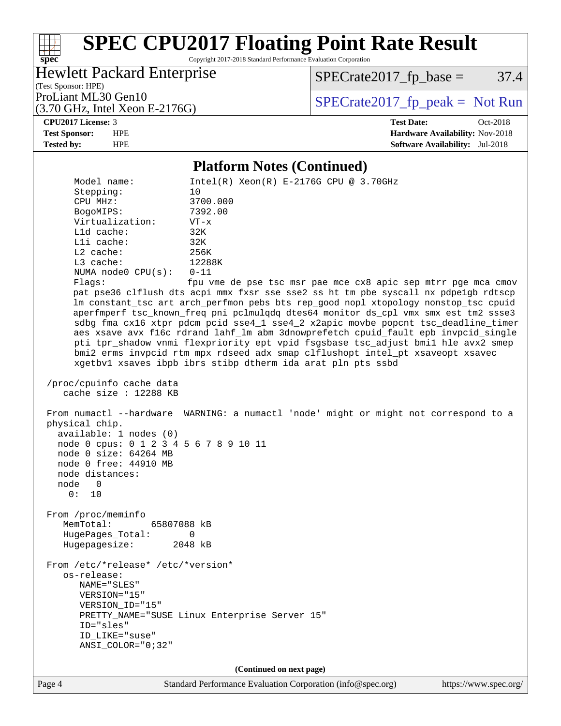Copyright 2017-2018 Standard Performance Evaluation Corporation

#### Hewlett Packard Enterprise

 $SPECTate2017<sub>fp</sub> base =  $37.4$$ 

(Test Sponsor: HPE)

(3.70 GHz, Intel Xeon E-2176G)

ProLiant ML30 Gen10  $SPECTR_{12}^{270}$  [SPECrate2017\\_fp\\_peak =](http://www.spec.org/auto/cpu2017/Docs/result-fields.html#SPECrate2017fppeak) Not Run

**[spec](http://www.spec.org/)**

a tim

**[CPU2017 License:](http://www.spec.org/auto/cpu2017/Docs/result-fields.html#CPU2017License)** 3 **[Test Date:](http://www.spec.org/auto/cpu2017/Docs/result-fields.html#TestDate)** Oct-2018 **[Test Sponsor:](http://www.spec.org/auto/cpu2017/Docs/result-fields.html#TestSponsor)** HPE **[Hardware Availability:](http://www.spec.org/auto/cpu2017/Docs/result-fields.html#HardwareAvailability)** Nov-2018 **[Tested by:](http://www.spec.org/auto/cpu2017/Docs/result-fields.html#Testedby)** HPE **[Software Availability:](http://www.spec.org/auto/cpu2017/Docs/result-fields.html#SoftwareAvailability)** Jul-2018

#### **[Platform Notes \(Continued\)](http://www.spec.org/auto/cpu2017/Docs/result-fields.html#PlatformNotes)**

 Model name: Intel(R) Xeon(R) E-2176G CPU @ 3.70GHz Stepping: 10 CPU MHz: 3700.000 BogoMIPS: 7392.00 Virtualization: VT-x L1d cache: 32K L1i cache: 32K L2 cache: 256K L3 cache: 12288K NUMA node0 CPU(s): 0-11 Flags: fpu vme de pse tsc msr pae mce cx8 apic sep mtrr pge mca cmov pat pse36 clflush dts acpi mmx fxsr sse sse2 ss ht tm pbe syscall nx pdpe1gb rdtscp lm constant\_tsc art arch\_perfmon pebs bts rep\_good nopl xtopology nonstop\_tsc cpuid aperfmperf tsc\_known\_freq pni pclmulqdq dtes64 monitor ds\_cpl vmx smx est tm2 ssse3 sdbg fma cx16 xtpr pdcm pcid sse4\_1 sse4\_2 x2apic movbe popcnt tsc\_deadline\_timer aes xsave avx f16c rdrand lahf\_lm abm 3dnowprefetch cpuid\_fault epb invpcid\_single pti tpr\_shadow vnmi flexpriority ept vpid fsgsbase tsc\_adjust bmi1 hle avx2 smep bmi2 erms invpcid rtm mpx rdseed adx smap clflushopt intel\_pt xsaveopt xsavec xgetbv1 xsaves ibpb ibrs stibp dtherm ida arat pln pts ssbd /proc/cpuinfo cache data cache size : 12288 KB From numactl --hardware WARNING: a numactl 'node' might or might not correspond to a physical chip. available: 1 nodes (0) node 0 cpus: 0 1 2 3 4 5 6 7 8 9 10 11 node 0 size: 64264 MB node 0 free: 44910 MB node distances: node 0  $0: 10$  From /proc/meminfo MemTotal: 65807088 kB HugePages\_Total: 0 Hugepagesize: 2048 kB From /etc/\*release\* /etc/\*version\* os-release: NAME="SLES" VERSION="15" VERSION\_ID="15" PRETTY\_NAME="SUSE Linux Enterprise Server 15" ID="sles" ID\_LIKE="suse" ANSI\_COLOR="0;32" **(Continued on next page)**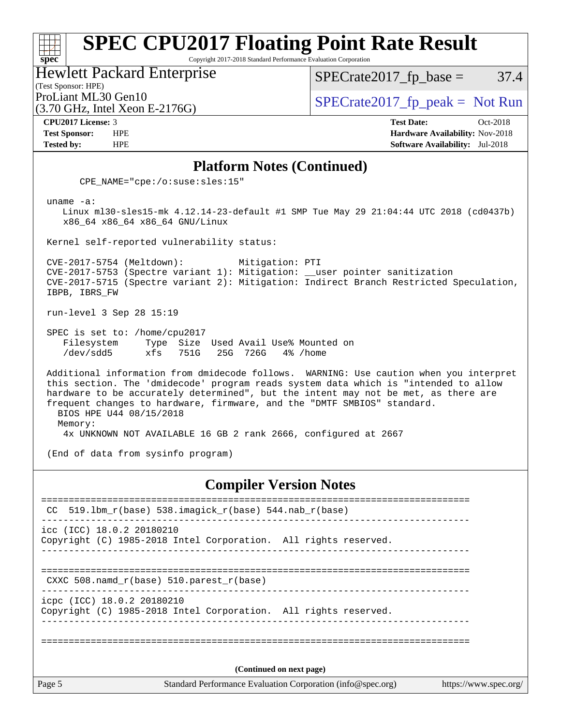Copyright 2017-2018 Standard Performance Evaluation Corporation

Hewlett Packard Enterprise

 $SPECTate2017<sub>fr</sub> base = 37.4$ 

### (Test Sponsor: HPE)

(3.70 GHz, Intel Xeon E-2176G)

ProLiant ML30 Gen10  $SPECTA = 2176C$   $SPECTA = 2017$   $SPECTA = 2017$   $SPECTA = 2017$   $S.$ 

**[spec](http://www.spec.org/)**

**[CPU2017 License:](http://www.spec.org/auto/cpu2017/Docs/result-fields.html#CPU2017License)** 3 **[Test Date:](http://www.spec.org/auto/cpu2017/Docs/result-fields.html#TestDate)** Oct-2018 **[Test Sponsor:](http://www.spec.org/auto/cpu2017/Docs/result-fields.html#TestSponsor)** HPE **[Hardware Availability:](http://www.spec.org/auto/cpu2017/Docs/result-fields.html#HardwareAvailability)** Nov-2018 **[Tested by:](http://www.spec.org/auto/cpu2017/Docs/result-fields.html#Testedby)** HPE **[Software Availability:](http://www.spec.org/auto/cpu2017/Docs/result-fields.html#SoftwareAvailability)** Jul-2018

#### **[Platform Notes \(Continued\)](http://www.spec.org/auto/cpu2017/Docs/result-fields.html#PlatformNotes)**

CPE\_NAME="cpe:/o:suse:sles:15"

uname -a:

 Linux ml30-sles15-mk 4.12.14-23-default #1 SMP Tue May 29 21:04:44 UTC 2018 (cd0437b) x86\_64 x86\_64 x86\_64 GNU/Linux

Kernel self-reported vulnerability status:

 CVE-2017-5754 (Meltdown): Mitigation: PTI CVE-2017-5753 (Spectre variant 1): Mitigation: \_\_user pointer sanitization CVE-2017-5715 (Spectre variant 2): Mitigation: Indirect Branch Restricted Speculation, IBPB, IBRS\_FW

run-level 3 Sep 28 15:19

 SPEC is set to: /home/cpu2017 Filesystem Type Size Used Avail Use% Mounted on /dev/sdd5 xfs 751G 25G 726G 4% /home

 Additional information from dmidecode follows. WARNING: Use caution when you interpret this section. The 'dmidecode' program reads system data which is "intended to allow hardware to be accurately determined", but the intent may not be met, as there are frequent changes to hardware, firmware, and the "DMTF SMBIOS" standard. BIOS HPE U44 08/15/2018 Memory:

4x UNKNOWN NOT AVAILABLE 16 GB 2 rank 2666, configured at 2667

(End of data from sysinfo program)

#### **[Compiler Version Notes](http://www.spec.org/auto/cpu2017/Docs/result-fields.html#CompilerVersionNotes)**

| Page 5                     |                                                                 | Standard Performance Evaluation Corporation (info@spec.org) | https://www.spec.org/ |  |  |  |
|----------------------------|-----------------------------------------------------------------|-------------------------------------------------------------|-----------------------|--|--|--|
| (Continued on next page)   |                                                                 |                                                             |                       |  |  |  |
|                            |                                                                 |                                                             |                       |  |  |  |
| icpc (ICC) 18.0.2 20180210 | Copyright (C) 1985-2018 Intel Corporation. All rights reserved. |                                                             |                       |  |  |  |
|                            | CXXC 508. namd $r(base)$ 510. parest $r(base)$                  | -------------------------------------                       |                       |  |  |  |
| icc (ICC) 18.0.2 20180210  | Copyright (C) 1985-2018 Intel Corporation. All rights reserved. |                                                             |                       |  |  |  |
|                            | CC $519.1$ bm_r(base) 538.imagick_r(base) 544.nab_r(base)       |                                                             |                       |  |  |  |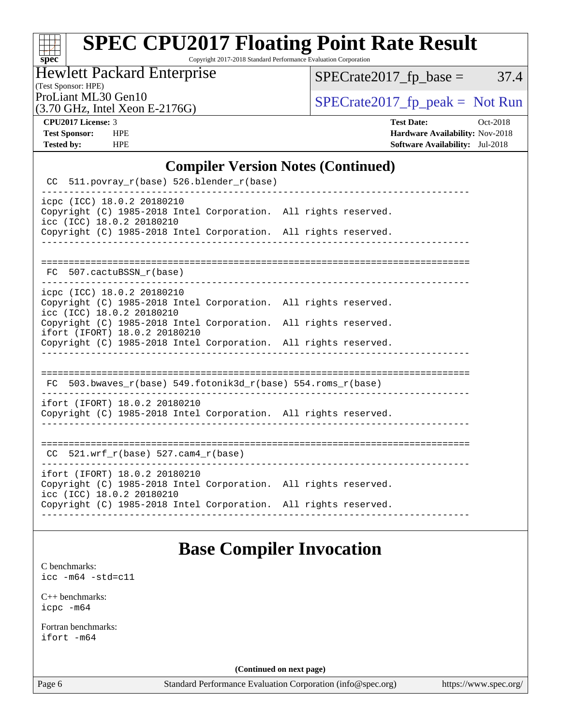# **[spec](http://www.spec.org/)**

# **[SPEC CPU2017 Floating Point Rate Result](http://www.spec.org/auto/cpu2017/Docs/result-fields.html#SPECCPU2017FloatingPointRateResult)**

Copyright 2017-2018 Standard Performance Evaluation Corporation

#### Hewlett Packard Enterprise

 $SPECTate2017<sub>fp</sub> base =  $37.4$$ 

(Test Sponsor: HPE)

(3.70 GHz, Intel Xeon E-2176G)

ProLiant ML30 Gen10  $SPECTA = 2176C$   $SPECTA = 2017$  speak = Not Run

**[CPU2017 License:](http://www.spec.org/auto/cpu2017/Docs/result-fields.html#CPU2017License)** 3 **[Test Date:](http://www.spec.org/auto/cpu2017/Docs/result-fields.html#TestDate)** Oct-2018 **[Test Sponsor:](http://www.spec.org/auto/cpu2017/Docs/result-fields.html#TestSponsor)** HPE **[Hardware Availability:](http://www.spec.org/auto/cpu2017/Docs/result-fields.html#HardwareAvailability)** Nov-2018 **[Tested by:](http://www.spec.org/auto/cpu2017/Docs/result-fields.html#Testedby)** HPE **[Software Availability:](http://www.spec.org/auto/cpu2017/Docs/result-fields.html#SoftwareAvailability)** Jul-2018

#### **[Compiler Version Notes \(Continued\)](http://www.spec.org/auto/cpu2017/Docs/result-fields.html#CompilerVersionNotes)**

 CC 511.povray\_r(base) 526.blender\_r(base) ----------------------------------------------------------------------------- icpc (ICC) 18.0.2 20180210 Copyright (C) 1985-2018 Intel Corporation. All rights reserved. icc (ICC) 18.0.2 20180210 Copyright (C) 1985-2018 Intel Corporation. All rights reserved. ------------------------------------------------------------------------------ ============================================================================== FC 507.cactuBSSN\_r(base) icpc (ICC) 18.0.2 20180210 Copyright (C) 1985-2018 Intel Corporation. All rights reserved. icc (ICC) 18.0.2 20180210 Copyright (C) 1985-2018 Intel Corporation. All rights reserved. ifort (IFORT) 18.0.2 20180210 Copyright (C) 1985-2018 Intel Corporation. All rights reserved. ------------------------------------------------------------------------------ ============================================================================== FC 503.bwaves\_r(base) 549.fotonik3d\_r(base) 554.roms\_r(base) ----------------------------------------------------------------------------- ifort (IFORT) 18.0.2 20180210 Copyright (C) 1985-2018 Intel Corporation. All rights reserved. ------------------------------------------------------------------------------ ============================================================================== CC 521.wrf\_r(base) 527.cam4\_r(base) ----------------------------------------------------------------------------- ifort (IFORT) 18.0.2 20180210 Copyright (C) 1985-2018 Intel Corporation. All rights reserved. icc (ICC) 18.0.2 20180210 Copyright (C) 1985-2018 Intel Corporation. All rights reserved. ------------------------------------------------------------------------------

### **[Base Compiler Invocation](http://www.spec.org/auto/cpu2017/Docs/result-fields.html#BaseCompilerInvocation)**

[C benchmarks](http://www.spec.org/auto/cpu2017/Docs/result-fields.html#Cbenchmarks): [icc -m64 -std=c11](http://www.spec.org/cpu2017/results/res2018q4/cpu2017-20181015-09172.flags.html#user_CCbase_intel_icc_64bit_c11_33ee0cdaae7deeeab2a9725423ba97205ce30f63b9926c2519791662299b76a0318f32ddfffdc46587804de3178b4f9328c46fa7c2b0cd779d7a61945c91cd35)

[C++ benchmarks:](http://www.spec.org/auto/cpu2017/Docs/result-fields.html#CXXbenchmarks)

[icpc -m64](http://www.spec.org/cpu2017/results/res2018q4/cpu2017-20181015-09172.flags.html#user_CXXbase_intel_icpc_64bit_4ecb2543ae3f1412ef961e0650ca070fec7b7afdcd6ed48761b84423119d1bf6bdf5cad15b44d48e7256388bc77273b966e5eb805aefd121eb22e9299b2ec9d9)

[Fortran benchmarks](http://www.spec.org/auto/cpu2017/Docs/result-fields.html#Fortranbenchmarks): [ifort -m64](http://www.spec.org/cpu2017/results/res2018q4/cpu2017-20181015-09172.flags.html#user_FCbase_intel_ifort_64bit_24f2bb282fbaeffd6157abe4f878425411749daecae9a33200eee2bee2fe76f3b89351d69a8130dd5949958ce389cf37ff59a95e7a40d588e8d3a57e0c3fd751)

**(Continued on next page)**

Page 6 Standard Performance Evaluation Corporation [\(info@spec.org\)](mailto:info@spec.org) <https://www.spec.org/>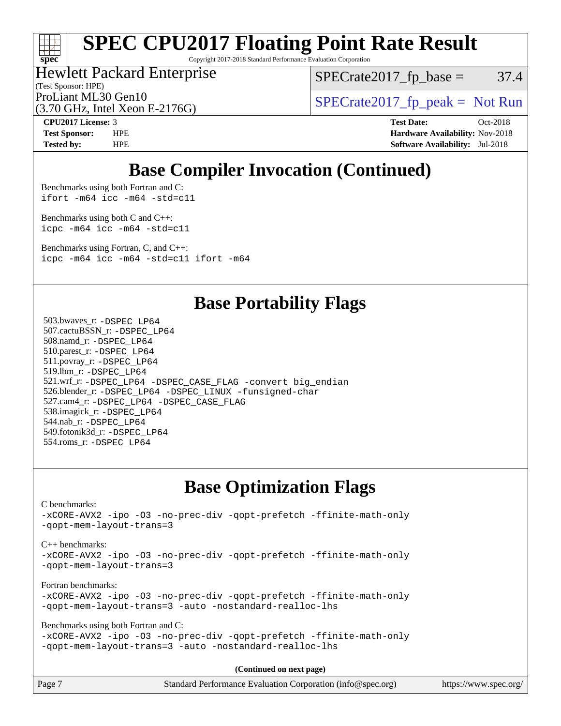# **[spec](http://www.spec.org/)**

# **[SPEC CPU2017 Floating Point Rate Result](http://www.spec.org/auto/cpu2017/Docs/result-fields.html#SPECCPU2017FloatingPointRateResult)**

Copyright 2017-2018 Standard Performance Evaluation Corporation

### Hewlett Packard Enterprise

 $SPECTate2017<sub>fp</sub> base =  $37.4$$ 

(Test Sponsor: HPE)

(3.70 GHz, Intel Xeon E-2176G)

ProLiant ML30 Gen10  $SPECTR_{12}^{270}$  [SPECrate2017\\_fp\\_peak =](http://www.spec.org/auto/cpu2017/Docs/result-fields.html#SPECrate2017fppeak) Not Run

**[CPU2017 License:](http://www.spec.org/auto/cpu2017/Docs/result-fields.html#CPU2017License)** 3 **[Test Date:](http://www.spec.org/auto/cpu2017/Docs/result-fields.html#TestDate)** Oct-2018 **[Test Sponsor:](http://www.spec.org/auto/cpu2017/Docs/result-fields.html#TestSponsor)** HPE **[Hardware Availability:](http://www.spec.org/auto/cpu2017/Docs/result-fields.html#HardwareAvailability)** Nov-2018 **[Tested by:](http://www.spec.org/auto/cpu2017/Docs/result-fields.html#Testedby)** HPE **[Software Availability:](http://www.spec.org/auto/cpu2017/Docs/result-fields.html#SoftwareAvailability)** Jul-2018

### **[Base Compiler Invocation \(Continued\)](http://www.spec.org/auto/cpu2017/Docs/result-fields.html#BaseCompilerInvocation)**

[Benchmarks using both Fortran and C](http://www.spec.org/auto/cpu2017/Docs/result-fields.html#BenchmarksusingbothFortranandC): [ifort -m64](http://www.spec.org/cpu2017/results/res2018q4/cpu2017-20181015-09172.flags.html#user_CC_FCbase_intel_ifort_64bit_24f2bb282fbaeffd6157abe4f878425411749daecae9a33200eee2bee2fe76f3b89351d69a8130dd5949958ce389cf37ff59a95e7a40d588e8d3a57e0c3fd751) [icc -m64 -std=c11](http://www.spec.org/cpu2017/results/res2018q4/cpu2017-20181015-09172.flags.html#user_CC_FCbase_intel_icc_64bit_c11_33ee0cdaae7deeeab2a9725423ba97205ce30f63b9926c2519791662299b76a0318f32ddfffdc46587804de3178b4f9328c46fa7c2b0cd779d7a61945c91cd35)

[Benchmarks using both C and C++](http://www.spec.org/auto/cpu2017/Docs/result-fields.html#BenchmarksusingbothCandCXX): [icpc -m64](http://www.spec.org/cpu2017/results/res2018q4/cpu2017-20181015-09172.flags.html#user_CC_CXXbase_intel_icpc_64bit_4ecb2543ae3f1412ef961e0650ca070fec7b7afdcd6ed48761b84423119d1bf6bdf5cad15b44d48e7256388bc77273b966e5eb805aefd121eb22e9299b2ec9d9) [icc -m64 -std=c11](http://www.spec.org/cpu2017/results/res2018q4/cpu2017-20181015-09172.flags.html#user_CC_CXXbase_intel_icc_64bit_c11_33ee0cdaae7deeeab2a9725423ba97205ce30f63b9926c2519791662299b76a0318f32ddfffdc46587804de3178b4f9328c46fa7c2b0cd779d7a61945c91cd35)

[Benchmarks using Fortran, C, and C++:](http://www.spec.org/auto/cpu2017/Docs/result-fields.html#BenchmarksusingFortranCandCXX) [icpc -m64](http://www.spec.org/cpu2017/results/res2018q4/cpu2017-20181015-09172.flags.html#user_CC_CXX_FCbase_intel_icpc_64bit_4ecb2543ae3f1412ef961e0650ca070fec7b7afdcd6ed48761b84423119d1bf6bdf5cad15b44d48e7256388bc77273b966e5eb805aefd121eb22e9299b2ec9d9) [icc -m64 -std=c11](http://www.spec.org/cpu2017/results/res2018q4/cpu2017-20181015-09172.flags.html#user_CC_CXX_FCbase_intel_icc_64bit_c11_33ee0cdaae7deeeab2a9725423ba97205ce30f63b9926c2519791662299b76a0318f32ddfffdc46587804de3178b4f9328c46fa7c2b0cd779d7a61945c91cd35) [ifort -m64](http://www.spec.org/cpu2017/results/res2018q4/cpu2017-20181015-09172.flags.html#user_CC_CXX_FCbase_intel_ifort_64bit_24f2bb282fbaeffd6157abe4f878425411749daecae9a33200eee2bee2fe76f3b89351d69a8130dd5949958ce389cf37ff59a95e7a40d588e8d3a57e0c3fd751)

### **[Base Portability Flags](http://www.spec.org/auto/cpu2017/Docs/result-fields.html#BasePortabilityFlags)**

 503.bwaves\_r: [-DSPEC\\_LP64](http://www.spec.org/cpu2017/results/res2018q4/cpu2017-20181015-09172.flags.html#suite_basePORTABILITY503_bwaves_r_DSPEC_LP64) 507.cactuBSSN\_r: [-DSPEC\\_LP64](http://www.spec.org/cpu2017/results/res2018q4/cpu2017-20181015-09172.flags.html#suite_basePORTABILITY507_cactuBSSN_r_DSPEC_LP64) 508.namd\_r: [-DSPEC\\_LP64](http://www.spec.org/cpu2017/results/res2018q4/cpu2017-20181015-09172.flags.html#suite_basePORTABILITY508_namd_r_DSPEC_LP64) 510.parest\_r: [-DSPEC\\_LP64](http://www.spec.org/cpu2017/results/res2018q4/cpu2017-20181015-09172.flags.html#suite_basePORTABILITY510_parest_r_DSPEC_LP64) 511.povray\_r: [-DSPEC\\_LP64](http://www.spec.org/cpu2017/results/res2018q4/cpu2017-20181015-09172.flags.html#suite_basePORTABILITY511_povray_r_DSPEC_LP64) 519.lbm\_r: [-DSPEC\\_LP64](http://www.spec.org/cpu2017/results/res2018q4/cpu2017-20181015-09172.flags.html#suite_basePORTABILITY519_lbm_r_DSPEC_LP64) 521.wrf\_r: [-DSPEC\\_LP64](http://www.spec.org/cpu2017/results/res2018q4/cpu2017-20181015-09172.flags.html#suite_basePORTABILITY521_wrf_r_DSPEC_LP64) [-DSPEC\\_CASE\\_FLAG](http://www.spec.org/cpu2017/results/res2018q4/cpu2017-20181015-09172.flags.html#b521.wrf_r_baseCPORTABILITY_DSPEC_CASE_FLAG) [-convert big\\_endian](http://www.spec.org/cpu2017/results/res2018q4/cpu2017-20181015-09172.flags.html#user_baseFPORTABILITY521_wrf_r_convert_big_endian_c3194028bc08c63ac5d04de18c48ce6d347e4e562e8892b8bdbdc0214820426deb8554edfa529a3fb25a586e65a3d812c835984020483e7e73212c4d31a38223) 526.blender\_r: [-DSPEC\\_LP64](http://www.spec.org/cpu2017/results/res2018q4/cpu2017-20181015-09172.flags.html#suite_basePORTABILITY526_blender_r_DSPEC_LP64) [-DSPEC\\_LINUX](http://www.spec.org/cpu2017/results/res2018q4/cpu2017-20181015-09172.flags.html#b526.blender_r_baseCPORTABILITY_DSPEC_LINUX) [-funsigned-char](http://www.spec.org/cpu2017/results/res2018q4/cpu2017-20181015-09172.flags.html#user_baseCPORTABILITY526_blender_r_force_uchar_40c60f00ab013830e2dd6774aeded3ff59883ba5a1fc5fc14077f794d777847726e2a5858cbc7672e36e1b067e7e5c1d9a74f7176df07886a243d7cc18edfe67) 527.cam4\_r: [-DSPEC\\_LP64](http://www.spec.org/cpu2017/results/res2018q4/cpu2017-20181015-09172.flags.html#suite_basePORTABILITY527_cam4_r_DSPEC_LP64) [-DSPEC\\_CASE\\_FLAG](http://www.spec.org/cpu2017/results/res2018q4/cpu2017-20181015-09172.flags.html#b527.cam4_r_baseCPORTABILITY_DSPEC_CASE_FLAG) 538.imagick\_r: [-DSPEC\\_LP64](http://www.spec.org/cpu2017/results/res2018q4/cpu2017-20181015-09172.flags.html#suite_basePORTABILITY538_imagick_r_DSPEC_LP64) 544.nab\_r: [-DSPEC\\_LP64](http://www.spec.org/cpu2017/results/res2018q4/cpu2017-20181015-09172.flags.html#suite_basePORTABILITY544_nab_r_DSPEC_LP64) 549.fotonik3d\_r: [-DSPEC\\_LP64](http://www.spec.org/cpu2017/results/res2018q4/cpu2017-20181015-09172.flags.html#suite_basePORTABILITY549_fotonik3d_r_DSPEC_LP64) 554.roms\_r: [-DSPEC\\_LP64](http://www.spec.org/cpu2017/results/res2018q4/cpu2017-20181015-09172.flags.html#suite_basePORTABILITY554_roms_r_DSPEC_LP64)

### **[Base Optimization Flags](http://www.spec.org/auto/cpu2017/Docs/result-fields.html#BaseOptimizationFlags)**

[C benchmarks](http://www.spec.org/auto/cpu2017/Docs/result-fields.html#Cbenchmarks): [-xCORE-AVX2](http://www.spec.org/cpu2017/results/res2018q4/cpu2017-20181015-09172.flags.html#user_CCbase_f-xCORE-AVX2) [-ipo](http://www.spec.org/cpu2017/results/res2018q4/cpu2017-20181015-09172.flags.html#user_CCbase_f-ipo) [-O3](http://www.spec.org/cpu2017/results/res2018q4/cpu2017-20181015-09172.flags.html#user_CCbase_f-O3) [-no-prec-div](http://www.spec.org/cpu2017/results/res2018q4/cpu2017-20181015-09172.flags.html#user_CCbase_f-no-prec-div) [-qopt-prefetch](http://www.spec.org/cpu2017/results/res2018q4/cpu2017-20181015-09172.flags.html#user_CCbase_f-qopt-prefetch) [-ffinite-math-only](http://www.spec.org/cpu2017/results/res2018q4/cpu2017-20181015-09172.flags.html#user_CCbase_f_finite_math_only_cb91587bd2077682c4b38af759c288ed7c732db004271a9512da14a4f8007909a5f1427ecbf1a0fb78ff2a814402c6114ac565ca162485bbcae155b5e4258871) [-qopt-mem-layout-trans=3](http://www.spec.org/cpu2017/results/res2018q4/cpu2017-20181015-09172.flags.html#user_CCbase_f-qopt-mem-layout-trans_de80db37974c74b1f0e20d883f0b675c88c3b01e9d123adea9b28688d64333345fb62bc4a798493513fdb68f60282f9a726aa07f478b2f7113531aecce732043) [C++ benchmarks:](http://www.spec.org/auto/cpu2017/Docs/result-fields.html#CXXbenchmarks) [-xCORE-AVX2](http://www.spec.org/cpu2017/results/res2018q4/cpu2017-20181015-09172.flags.html#user_CXXbase_f-xCORE-AVX2) [-ipo](http://www.spec.org/cpu2017/results/res2018q4/cpu2017-20181015-09172.flags.html#user_CXXbase_f-ipo) [-O3](http://www.spec.org/cpu2017/results/res2018q4/cpu2017-20181015-09172.flags.html#user_CXXbase_f-O3) [-no-prec-div](http://www.spec.org/cpu2017/results/res2018q4/cpu2017-20181015-09172.flags.html#user_CXXbase_f-no-prec-div) [-qopt-prefetch](http://www.spec.org/cpu2017/results/res2018q4/cpu2017-20181015-09172.flags.html#user_CXXbase_f-qopt-prefetch) [-ffinite-math-only](http://www.spec.org/cpu2017/results/res2018q4/cpu2017-20181015-09172.flags.html#user_CXXbase_f_finite_math_only_cb91587bd2077682c4b38af759c288ed7c732db004271a9512da14a4f8007909a5f1427ecbf1a0fb78ff2a814402c6114ac565ca162485bbcae155b5e4258871) [-qopt-mem-layout-trans=3](http://www.spec.org/cpu2017/results/res2018q4/cpu2017-20181015-09172.flags.html#user_CXXbase_f-qopt-mem-layout-trans_de80db37974c74b1f0e20d883f0b675c88c3b01e9d123adea9b28688d64333345fb62bc4a798493513fdb68f60282f9a726aa07f478b2f7113531aecce732043) [Fortran benchmarks](http://www.spec.org/auto/cpu2017/Docs/result-fields.html#Fortranbenchmarks): [-xCORE-AVX2](http://www.spec.org/cpu2017/results/res2018q4/cpu2017-20181015-09172.flags.html#user_FCbase_f-xCORE-AVX2) [-ipo](http://www.spec.org/cpu2017/results/res2018q4/cpu2017-20181015-09172.flags.html#user_FCbase_f-ipo) [-O3](http://www.spec.org/cpu2017/results/res2018q4/cpu2017-20181015-09172.flags.html#user_FCbase_f-O3) [-no-prec-div](http://www.spec.org/cpu2017/results/res2018q4/cpu2017-20181015-09172.flags.html#user_FCbase_f-no-prec-div) [-qopt-prefetch](http://www.spec.org/cpu2017/results/res2018q4/cpu2017-20181015-09172.flags.html#user_FCbase_f-qopt-prefetch) [-ffinite-math-only](http://www.spec.org/cpu2017/results/res2018q4/cpu2017-20181015-09172.flags.html#user_FCbase_f_finite_math_only_cb91587bd2077682c4b38af759c288ed7c732db004271a9512da14a4f8007909a5f1427ecbf1a0fb78ff2a814402c6114ac565ca162485bbcae155b5e4258871) [-qopt-mem-layout-trans=3](http://www.spec.org/cpu2017/results/res2018q4/cpu2017-20181015-09172.flags.html#user_FCbase_f-qopt-mem-layout-trans_de80db37974c74b1f0e20d883f0b675c88c3b01e9d123adea9b28688d64333345fb62bc4a798493513fdb68f60282f9a726aa07f478b2f7113531aecce732043) [-auto](http://www.spec.org/cpu2017/results/res2018q4/cpu2017-20181015-09172.flags.html#user_FCbase_f-auto) [-nostandard-realloc-lhs](http://www.spec.org/cpu2017/results/res2018q4/cpu2017-20181015-09172.flags.html#user_FCbase_f_2003_std_realloc_82b4557e90729c0f113870c07e44d33d6f5a304b4f63d4c15d2d0f1fab99f5daaed73bdb9275d9ae411527f28b936061aa8b9c8f2d63842963b95c9dd6426b8a) [Benchmarks using both Fortran and C](http://www.spec.org/auto/cpu2017/Docs/result-fields.html#BenchmarksusingbothFortranandC): [-xCORE-AVX2](http://www.spec.org/cpu2017/results/res2018q4/cpu2017-20181015-09172.flags.html#user_CC_FCbase_f-xCORE-AVX2) [-ipo](http://www.spec.org/cpu2017/results/res2018q4/cpu2017-20181015-09172.flags.html#user_CC_FCbase_f-ipo) [-O3](http://www.spec.org/cpu2017/results/res2018q4/cpu2017-20181015-09172.flags.html#user_CC_FCbase_f-O3) [-no-prec-div](http://www.spec.org/cpu2017/results/res2018q4/cpu2017-20181015-09172.flags.html#user_CC_FCbase_f-no-prec-div) [-qopt-prefetch](http://www.spec.org/cpu2017/results/res2018q4/cpu2017-20181015-09172.flags.html#user_CC_FCbase_f-qopt-prefetch) [-ffinite-math-only](http://www.spec.org/cpu2017/results/res2018q4/cpu2017-20181015-09172.flags.html#user_CC_FCbase_f_finite_math_only_cb91587bd2077682c4b38af759c288ed7c732db004271a9512da14a4f8007909a5f1427ecbf1a0fb78ff2a814402c6114ac565ca162485bbcae155b5e4258871) [-qopt-mem-layout-trans=3](http://www.spec.org/cpu2017/results/res2018q4/cpu2017-20181015-09172.flags.html#user_CC_FCbase_f-qopt-mem-layout-trans_de80db37974c74b1f0e20d883f0b675c88c3b01e9d123adea9b28688d64333345fb62bc4a798493513fdb68f60282f9a726aa07f478b2f7113531aecce732043) [-auto](http://www.spec.org/cpu2017/results/res2018q4/cpu2017-20181015-09172.flags.html#user_CC_FCbase_f-auto) [-nostandard-realloc-lhs](http://www.spec.org/cpu2017/results/res2018q4/cpu2017-20181015-09172.flags.html#user_CC_FCbase_f_2003_std_realloc_82b4557e90729c0f113870c07e44d33d6f5a304b4f63d4c15d2d0f1fab99f5daaed73bdb9275d9ae411527f28b936061aa8b9c8f2d63842963b95c9dd6426b8a)

**(Continued on next page)**

| Page 7 | Standard Performance Evaluation Corporation (info@spec.org) | https://www.spec.org/ |
|--------|-------------------------------------------------------------|-----------------------|
|        |                                                             |                       |